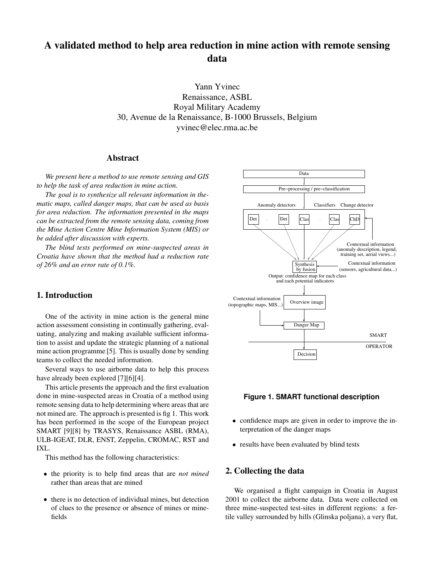# **A validated method to help area reduction in mine action with remote sensing data**

Yann Yvinec Renaissance, ASBL Royal Military Academy 30, Avenue de la Renaissance, B-1000 Brussels, Belgium yvinec@elec.rma.ac.be

### **Abstract**

*We present here a method to use remote sensing and GIS to help the task of area reduction in mine action.*

*The goal is to synthesize all relevant information in thematic maps, called danger maps, that can be used as basis for area reduction. The information presented in the maps can be extracted from the remote sensing data, coming from the Mine Action Centre Mine Information System (MIS) or be added after discussion with experts.*

*The blind tests performed on mine-suspected areas in Croatia have shown that the method had a reduction rate of 26% and an error rate of 0.1%.*

## **1. Introduction**

One of the activity in mine action is the general mine action assessment consisting in continually gathering, evaluating, analyzing and making available sufficient information to assist and update the strategic planning of a national mine action programme [5]. This is usually done by sending teams to collect the needed information.

Several ways to use airborne data to help this process have already been explored [7][6][4].

This article presents the approach and the first evaluation done in mine-suspected areas in Croatia of a method using remote sensing data to help determining where areas that are not mined are. The approach is presented is fig 1. This work has been performed in the scope of the European project SMART [9][8] by TRASYS, Renaissance ASBL (RMA), ULB-IGEAT, DLR, ENST, Zeppelin, CROMAC, RST and IXL.

This method has the following characteristics:

- the priority is to help find areas that are *not mined* rather than areas that are mined
- there is no detection of individual mines, but detection of clues to the presence or absence of mines or minefields





- confidence maps are given in order to improve the interpretation of the danger maps
- results have been evaluated by blind tests

#### **2. Collecting the data**

We organised a flight campaign in Croatia in August 2001 to collect the airborne data. Data were collected on three mine-suspected test-sites in different regions: a fertile valley surrounded by hills (Glinska poljana), a very flat,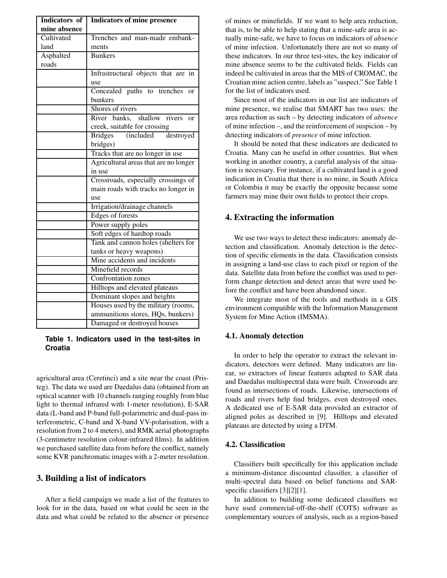| <b>Indicators</b> of | <b>Indicators of mine presence</b>               |  |  |  |
|----------------------|--------------------------------------------------|--|--|--|
| mine absence         |                                                  |  |  |  |
| Cultivated           | Trenches and man-made embank-                    |  |  |  |
| land                 | ments                                            |  |  |  |
| Asphalted            | <b>Bunkers</b>                                   |  |  |  |
| roads                |                                                  |  |  |  |
|                      | Infrastructural objects that are in              |  |  |  |
|                      | use                                              |  |  |  |
|                      | Concealed paths to trenches<br>or                |  |  |  |
|                      | bunkers                                          |  |  |  |
|                      | Shores of rivers                                 |  |  |  |
|                      | River banks, shallow rivers<br><b>or</b>         |  |  |  |
|                      | creek, suitable for crossing                     |  |  |  |
|                      | <i>(included)</i><br>destroyed<br><b>Bridges</b> |  |  |  |
|                      | bridges)                                         |  |  |  |
|                      | Tracks that are no longer in use                 |  |  |  |
|                      | Agricultural areas that are no longer            |  |  |  |
|                      | in use                                           |  |  |  |
|                      | Crossroads, especially crossings of              |  |  |  |
|                      | main roads with tracks no longer in              |  |  |  |
|                      | use                                              |  |  |  |
|                      | Irrigation/drainage channels                     |  |  |  |
|                      | Edges of forests                                 |  |  |  |
|                      | Power supply poles                               |  |  |  |
|                      | Soft edges of hardtop roads                      |  |  |  |
|                      | Tank and cannon holes (shelters for              |  |  |  |
|                      | tanks or heavy weapons)                          |  |  |  |
|                      | Mine accidents and incidents                     |  |  |  |
|                      | Minefield records                                |  |  |  |
|                      | Confrontation zones                              |  |  |  |
|                      | Hilltops and elevated plateaus                   |  |  |  |
|                      | Dominant slopes and heights                      |  |  |  |
|                      | Houses used by the military (rooms,              |  |  |  |
|                      | ammunitions stores, HQs, bunkers)                |  |  |  |
|                      | Damaged or destroyed houses                      |  |  |  |

**Table 1. Indicators used in the test-sites in Croatia**

agricultural area (Ceretinci) and a site near the coast (Pristeg). The data we used are Daedalus data (obtained from an optical scanner with 10 channels ranging roughly from blue light to thermal infrared with 1-meter resolution), E-SAR data (L-band and P-band full-polarimetric and dual-pass interferometric, C-band and X-band VV-polarisation, with a resolution from 2 to 4 meters), and RMK aerial photographs (3-centimetre resolution colour-infrared films). In addition we purchased satellite data from before the conflict, namely some KVR panchromatic images with a 2-meter resolution.

#### **3. Building a list of indicators**

After a field campaign we made a list of the features to look for in the data, based on what could be seen in the data and what could be related to the absence or presence of mines or minefields. If we want to help area reduction, that is, to be able to help stating that a mine-safe area is actually mine-safe, we have to focus on indicators of *absence* of mine infection. Unfortunately there are not so many of these indicators. In our three test-sites, the key indicator of mine absence seems to be the cultivated fields. Fields can indeed be cultivated in areas that the MIS of CROMAC, the Croatian mine action centre, labels as "suspect." See Table 1 for the list of indicators used.

Since most of the indicators in our list are indicators of mine presence, we realise that SMART has two uses: the area reduction as such – by detecting indicators of *absence* of mine infection –, and the reinforcement of suspicion – by detecting indicators of *presence* of mine infection.

It should be noted that these indicators are dedicated to Croatia. Many can be useful in other countries. But when working in another country, a careful analysis of the situation is necessary. For instance, if a cultivated land is a good indication in Croatia that there is no mine, in South Africa or Colombia it may be exactly the opposite because some farmers may mine their own fields to protect their crops.

#### **4. Extracting the information**

We use two ways to detect these indicators: anomaly detection and classification. Anomaly detection is the detection of specific elements in the data. Classification consists in assigning a land-use class to each pixel or region of the data. Satellite data from before the conflict was used to perform change detection and detect areas that were used before the conflict and have been abandoned since.

We integrate most of the tools and methods in a GIS environment compatible with the Information Management System for Mine Action (IMSMA).

#### **4.1. Anomaly detection**

In order to help the operator to extract the relevant indicators, detectors were defined. Many indicators are linear, so extractors of linear features adapted to SAR data and Daedalus multispectral data were built. Crossroads are found as intersections of roads. Likewise, intersections of roads and rivers help find bridges, even destroyed ones. A dedicated use of E-SAR data provided an extractor of aligned poles as described in [9]. Hilltops and elevated plateaus are detected by using a DTM.

#### **4.2. Classification**

Classifiers built specifically for this application include a minimum-distance discounted classifier, a classifier of multi-spectral data based on belief functions and SARspecific classifiers [3][2][1].

In addition to building some dedicated classifiers we have used commercial-off-the-shelf (COTS) software as complementary sources of analysis, such as a region-based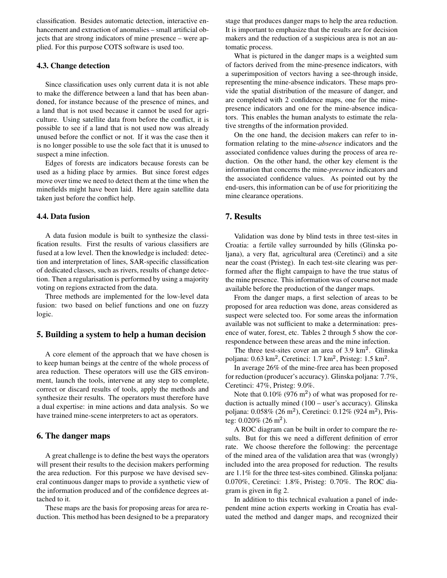classification. Besides automatic detection, interactive enhancement and extraction of anomalies – small artificial objects that are strong indicators of mine presence – were applied. For this purpose COTS software is used too.

#### **4.3. Change detection**

Since classification uses only current data it is not able to make the difference between a land that has been abandoned, for instance because of the presence of mines, and a land that is not used because it cannot be used for agriculture. Using satellite data from before the conflict, it is possible to see if a land that is not used now was already unused before the conflict or not. If it was the case then it is no longer possible to use the sole fact that it is unused to suspect a mine infection.

Edges of forests are indicators because forests can be used as a hiding place by armies. But since forest edges move over time we need to detect them at the time when the minefields might have been laid. Here again satellite data taken just before the conflict help.

#### **4.4. Data fusion**

A data fusion module is built to synthesize the classification results. First the results of various classifiers are fused at a low level. Then the knowledge is included: detection and interpretation of lines, SAR-specific classification of dedicated classes, such as rivers, results of change detection. Then a regularisation is performed by using a majority voting on regions extracted from the data.

Three methods are implemented for the low-level data fusion: two based on belief functions and one on fuzzy logic.

### **5. Building a system to help a human decision**

A core element of the approach that we have chosen is to keep human beings at the centre of the whole process of area reduction. These operators will use the GIS environment, launch the tools, intervene at any step to complete, correct or discard results of tools, apply the methods and synthesize their results. The operators must therefore have a dual expertise: in mine actions and data analysis. So we have trained mine-scene interpreters to act as operators.

### **6. The danger maps**

A great challenge is to define the best ways the operators will present their results to the decision makers performing the area reduction. For this purpose we have devised several continuous danger maps to provide a synthetic view of the information produced and of the confidence degrees attached to it.

These maps are the basis for proposing areas for area reduction. This method has been designed to be a preparatory stage that produces danger maps to help the area reduction. It is important to emphasize that the results are for decision makers and the reduction of a suspicious area is not an automatic process.

What is pictured in the danger maps is a weighted sum of factors derived from the mine-presence indicators, with a superimposition of vectors having a see-through inside, representing the mine-absence indicators. These maps provide the spatial distribution of the measure of danger, and are completed with 2 confidence maps, one for the minepresence indicators and one for the mine-absence indicators. This enables the human analysts to estimate the relative strengths of the information provided.

On the one hand, the decision makers can refer to information relating to the mine-*absence* indicators and the associated confidence values during the process of area reduction. On the other hand, the other key element is the information that concerns the mine-*presence* indicators and the associated confidence values. As pointed out by the end-users, this information can be of use for prioritizing the mine clearance operations.

## **7. Results**

Validation was done by blind tests in three test-sites in Croatia: a fertile valley surrounded by hills (Glinska poljana), a very flat, agricultural area (Ceretinci) and a site near the coast (Pristeg). In each test-site clearing was performed after the flight campaign to have the true status of the mine presence. This information was of course not made available before the production of the danger maps.

From the danger maps, a first selection of areas to be proposed for area reduction was done, areas considered as suspect were selected too. For some areas the information available was not sufficient to make a determination: presence of water, forest, etc. Tables 2 through 5 show the correspondence between these areas and the mine infection.

The three test-sites cover an area of  $3.9 \text{ km}^2$ . Glinska poljana:  $0.63 \text{ km}^2$ , Ceretinci:  $1.7 \text{ km}^2$ , Pristeg:  $1.5 \text{ km}^2$ .

In average 26% of the mine-free area has been proposed for reduction (producer's accuracy). Glinska poljana: 7.7%, Ceretinci: 47%, Pristeg: 9.0%.

Note that  $0.10\%$  (976 m<sup>2</sup>) of what was proposed for reduction is actually mined (100 – user's accuracy). Glinska poljana: 0.058% (26 m<sup>2</sup>), Ceretinci: 0.12% (924 m<sup>2</sup>), Pristeg: 0.020% (26 m ).

A ROC diagram can be built in order to compare the results. But for this we need a different definition of error rate. We choose therefore the following: the percentage of the mined area of the validation area that was (wrongly) included into the area proposed for reduction. The results are 1.1% for the three test-sites combined. Glinska poljana: 0.070%, Ceretinci: 1.8%, Pristeg: 0.70%. The ROC diagram is given in fig 2.

In addition to this technical evaluation a panel of independent mine action experts working in Croatia has evaluated the method and danger maps, and recognized their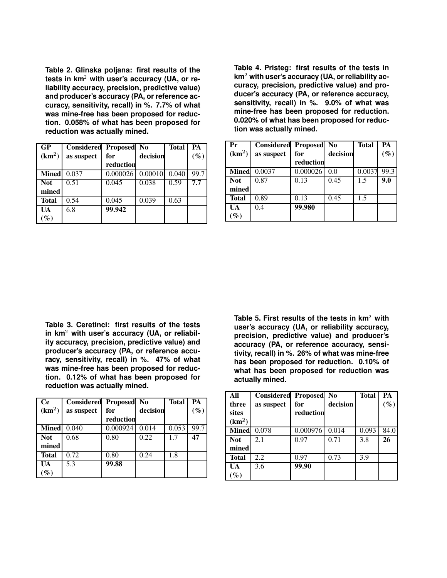**Table 2. Glinska poljana: first results of the tests in km with user's accuracy (UA, or reliability accuracy, precision, predictive value) and producer's accuracy (PA, or reference accuracy, sensitivity, recall) in %. 7.7% of what was mine-free has been proposed for reduction. 0.058% of what has been proposed for reduction was actually mined.**

| <b>GP</b>          | <b>Considered Proposed No</b> |           |          | <b>Total</b> | PA     |
|--------------------|-------------------------------|-----------|----------|--------------|--------|
| (km <sup>2</sup> ) | as suspect                    | for       | decision |              | $(\%)$ |
|                    |                               | reduction |          |              |        |
| <b>Mined</b>       | 0.037                         | 0.000026  | 0.00010  | 0.040        | 99.7   |
| <b>Not</b>         | 0.51                          | 0.045     | 0.038    | 0.59         | 7.7    |
| mined              |                               |           |          |              |        |
| <b>Total</b>       | 0.54                          | 0.045     | 0.039    | 0.63         |        |
| UA                 | 6.8                           | 99.942    |          |              |        |
| $\mathscr{G}_o$    |                               |           |          |              |        |

**Table 4. Pristeg: first results of the tests in km with user's accuracy (UA, or reliability accuracy, precision, predictive value) and producer's accuracy (PA, or reference accuracy, sensitivity, recall) in %. 9.0% of what was mine-free has been proposed for reduction. 0.020% of what has been proposed for reduction was actually mined.**

| Pr                 | <b>Considered Proposed No</b> |           |          | <b>Total</b> | PA     |
|--------------------|-------------------------------|-----------|----------|--------------|--------|
| (km <sup>2</sup> ) | as suspect                    | for       | decision |              | $(\%)$ |
|                    |                               | reduction |          |              |        |
| <b>Mined</b>       | 0.0037                        | 0.000026  | 0.0      | 0.0037       | 99.3   |
| <b>Not</b>         | 0.87                          | 0.13      | 0.45     | 1.5          | 9.0    |
| mined              |                               |           |          |              |        |
| <b>Total</b>       | 0.89                          | 0.13      | 0.45     | 1.5          |        |
| UA                 | 0.4                           | 99.980    |          |              |        |
| $\mathscr{G}_o$    |                               |           |          |              |        |

**Table 3. Ceretinci: first results of the tests in km with user's accuracy (UA, or reliability accuracy, precision, predictive value) and producer's accuracy (PA, or reference accuracy, sensitivity, recall) in %. 47% of what was mine-free has been proposed for reduction. 0.12% of what has been proposed for reduction was actually mined.**

| <b>Ce</b>          | <b>Considered Proposed No</b> |           |          | <b>Total</b> | PA     |
|--------------------|-------------------------------|-----------|----------|--------------|--------|
| (km <sup>2</sup> ) | as suspect                    | for       | decision |              | $(\%)$ |
|                    |                               | reduction |          |              |        |
| <b>Mined</b>       | 0.040                         | 0.000924  | 0.014    | 0.053        | 99.7   |
| <b>Not</b>         | 0.68                          | 0.80      | 0.22     | 1.7          | 47     |
| mined              |                               |           |          |              |        |
| <b>Total</b>       | 0.72                          | 0.80      | 0.24     | 1.8          |        |
| UA                 | 5.3                           | 99.88     |          |              |        |
| $\%$               |                               |           |          |              |        |

**Table 5. First results of the tests in km with user's accuracy (UA, or reliability accuracy, precision, predictive value) and producer's accuracy (PA, or reference accuracy, sensitivity, recall) in %. 26% of what was mine-free has been proposed for reduction. 0.10% of what has been proposed for reduction was actually mined.**

| All                | <b>Considered Proposed No</b> |           |          | <b>Total</b> | PA     |
|--------------------|-------------------------------|-----------|----------|--------------|--------|
| three              | as suspect                    | for       | decision |              | $(\%)$ |
| sites              |                               | reduction |          |              |        |
| (km <sup>2</sup> ) |                               |           |          |              |        |
| <b>Mined</b>       | 0.078                         | 0.000976  | 0.014    | 0.093        | 84.0   |
| <b>Not</b>         | 2.1                           | 0.97      | 0.71     | 3.8          | 26     |
| mined              |                               |           |          |              |        |
| <b>Total</b>       | 2.2                           | 0.97      | 0.73     | 3.9          |        |
| UA                 | 3.6                           | 99.90     |          |              |        |
|                    |                               |           |          |              |        |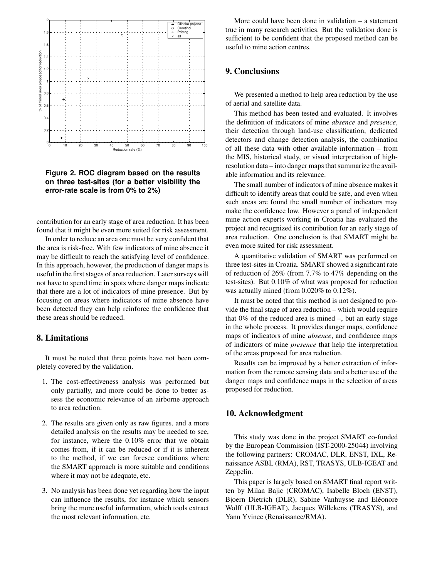

**Figure 2. ROC diagram based on the results on three test-sites (for a better visibility the error-rate scale is from 0% to 2%)**

contribution for an early stage of area reduction. It has been found that it might be even more suited for risk assessment.

In order to reduce an area one must be very confident that the area is risk-free. With few indicators of mine absence it may be difficult to reach the satisfying level of confidence. In this approach, however, the production of danger maps is useful in the first stages of area reduction. Later surveys will not have to spend time in spots where danger maps indicate that there are a lot of indicators of mine presence. But by focusing on areas where indicators of mine absence have been detected they can help reinforce the confidence that these areas should be reduced.

## **8. Limitations**

It must be noted that three points have not been completely covered by the validation.

- 1. The cost-effectiveness analysis was performed but only partially, and more could be done to better assess the economic relevance of an airborne approach to area reduction.
- 2. The results are given only as raw figures, and a more detailed analysis on the results may be needed to see, for instance, where the 0.10% error that we obtain comes from, if it can be reduced or if it is inherent to the method, if we can foresee conditions where the SMART approach is more suitable and conditions where it may not be adequate, etc.
- 3. No analysis has been done yet regarding how the input can influence the results, for instance which sensors bring the more useful information, which tools extract the most relevant information, etc.

More could have been done in validation – a statement true in many research activities. But the validation done is sufficient to be confident that the proposed method can be useful to mine action centres.

### **9. Conclusions**

We presented a method to help area reduction by the use of aerial and satellite data.

This method has been tested and evaluated. It involves the definition of indicators of mine *absence* and *presence*, their detection through land-use classification, dedicated detectors and change detection analysis, the combination of all these data with other available information – from the MIS, historical study, or visual interpretation of highresolution data – into danger maps that summarize the available information and its relevance.

The small number of indicators of mine absence makes it difficult to identify areas that could be safe, and even when such areas are found the small number of indicators may make the confidence low. However a panel of independent mine action experts working in Croatia has evaluated the project and recognized its contribution for an early stage of area reduction. One conclusion is that SMART might be even more suited for risk assessment.

A quantitative validation of SMART was performed on three test-sites in Croatia. SMART showed a significant rate of reduction of 26% (from 7.7% to 47% depending on the test-sites). But 0.10% of what was proposed for reduction was actually mined (from 0.020% to 0.12%).

It must be noted that this method is not designed to provide the final stage of area reduction – which would require that  $0\%$  of the reduced area is mined  $-$ , but an early stage in the whole process. It provides danger maps, confidence maps of indicators of mine *absence*, and confidence maps of indicators of mine *presence* that help the interpretation of the areas proposed for area reduction.

Results can be improved by a better extraction of information from the remote sensing data and a better use of the danger maps and confidence maps in the selection of areas proposed for reduction.

#### **10. Acknowledgment**

This study was done in the project SMART co-funded by the European Commission (IST-2000-25044) involving the following partners: CROMAC, DLR, ENST, IXL, Renaissance ASBL (RMA), RST, TRASYS, ULB-IGEAT and Zeppelin.

This paper is largely based on SMART final report written by Milan Bajic (CROMAC), Isabelle Bloch (ENST), Bjoern Dietrich (DLR), Sabine Vanhuysse and Eléonore Wolff (ULB-IGEAT), Jacques Willekens (TRASYS), and Yann Yvinec (Renaissance/RMA).